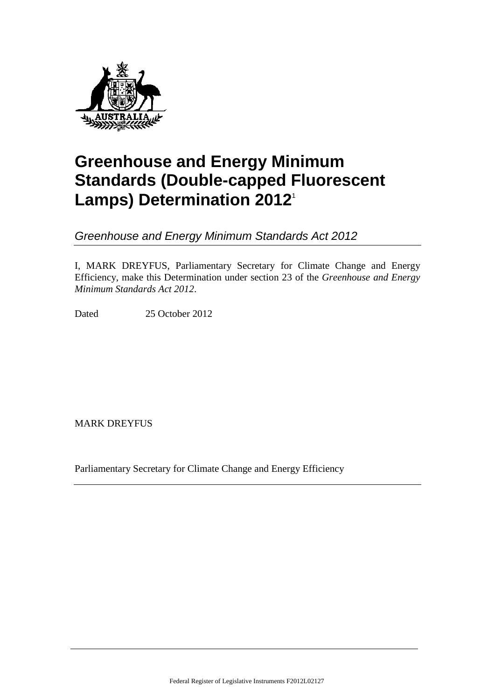

# **Greenhouse and Energy Minimum Standards (Double-capped Fluorescent Lamps) Determination 2012**<sup>1</sup>

*Greenhouse and Energy Minimum Standards Act 2012*

I, MARK DREYFUS, Parliamentary Secretary for Climate Change and Energy Efficiency, make this Determination under section 23 of the *Greenhouse and Energy Minimum Standards Act 2012*.

Dated 25 October 2012

MARK DREYFUS

Parliamentary Secretary for Climate Change and Energy Efficiency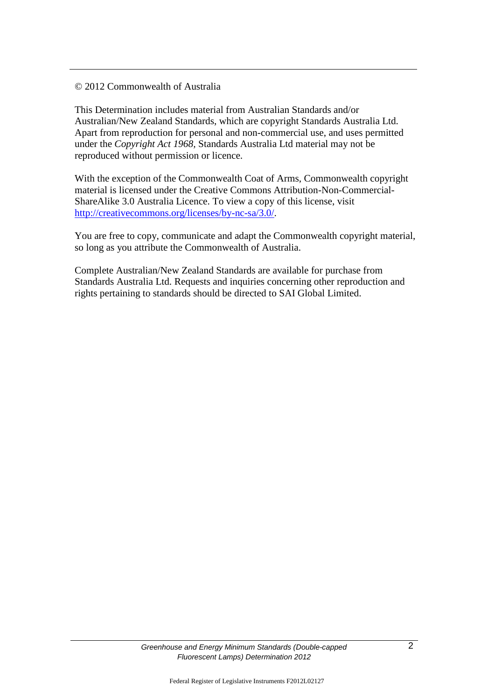# © 2012 Commonwealth of Australia

This Determination includes material from Australian Standards and/or Australian/New Zealand Standards, which are copyright Standards Australia Ltd. Apart from reproduction for personal and non-commercial use, and uses permitted under the *Copyright Act 1968,* Standards Australia Ltd material may not be reproduced without permission or licence.

With the exception of the Commonwealth Coat of Arms, Commonwealth copyright material is licensed under the Creative Commons Attribution-Non-Commercial-ShareAlike 3.0 Australia Licence. To view a copy of this license, visit [http://creativecommons.org/licenses/by-nc-sa/3.0/.](http://creativecommons.org/licenses/by-nc-sa/3.0/)

You are free to copy, communicate and adapt the Commonwealth copyright material, so long as you attribute the Commonwealth of Australia.

Complete Australian/New Zealand Standards are available for purchase from Standards Australia Ltd. Requests and inquiries concerning other reproduction and rights pertaining to standards should be directed to SAI Global Limited.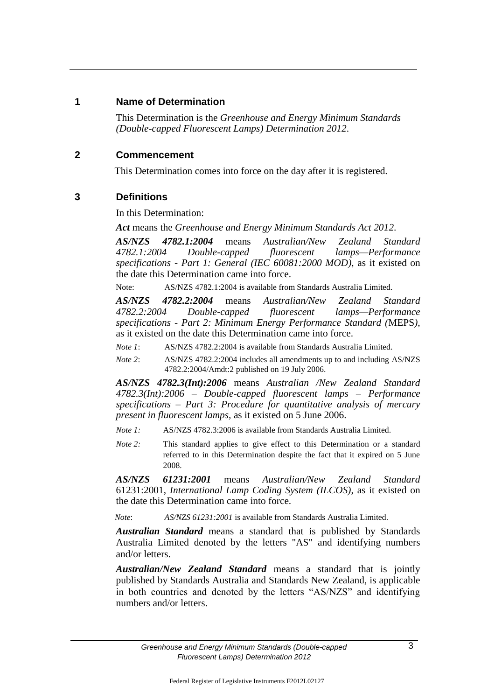# **1 Name of Determination**

This Determination is the *Greenhouse and Energy Minimum Standards (Double-capped Fluorescent Lamps) Determination 2012*.

# **2 Commencement**

This Determination comes into force on the day after it is registered.

# **3 Definitions**

In this Determination:

*Act* means the *Greenhouse and Energy Minimum Standards Act 2012*.

*AS/NZS 4782.1:2004* means *Australian/New Zealand Standard 4782.1:2004 Double-capped fluorescent lamps—Performance specifications - Part 1: General (IEC 60081:2000 MOD)*, as it existed on the date this Determination came into force.

Note: AS/NZS 4782.1:2004 is available from Standards Australia Limited.

*AS/NZS 4782.2:2004* means *Australian/New Zealand Standard 4782.2:2004 Double-capped fluorescent lamps—Performance specifications - Part 2: Minimum Energy Performance Standard (*MEPS*)*, as it existed on the date this Determination came into force.

*Note 1*: AS/NZS 4782.2:2004 is available from Standards Australia Limited.

*Note 2*: AS/NZS 4782.2:2004 includes all amendments up to and including AS/NZS 4782.2:2004/Amdt:2 published on 19 July 2006.

*AS/NZS 4782.3(Int):2006* means *Australian /New Zealand Standard 4782.3(Int):2006* – *Double-capped fluorescent lamps* – *Performance specifications* – *Part 3: Procedure for quantitative analysis of mercury present in fluorescent lamps,* as it existed on 5 June 2006.

*Note 1:* AS/NZS 4782.3:2006 is available from Standards Australia Limited.

*Note 2:* This standard applies to give effect to this Determination or a standard referred to in this Determination despite the fact that it expired on 5 June 2008.

*AS/NZS 61231:2001* means *Australian/New Zealand Standard* 61231:2001, *International Lamp Coding System (ILCOS)*, as it existed on the date this Determination came into force.

*Note*: *AS/NZS 61231:2001* is available from Standards Australia Limited.

*Australian Standard* means a standard that is published by Standards Australia Limited denoted by the letters "AS" and identifying numbers and/or letters.

*Australian/New Zealand Standard* means a standard that is jointly published by Standards Australia and Standards New Zealand, is applicable in both countries and denoted by the letters "AS/NZS" and identifying numbers and/or letters.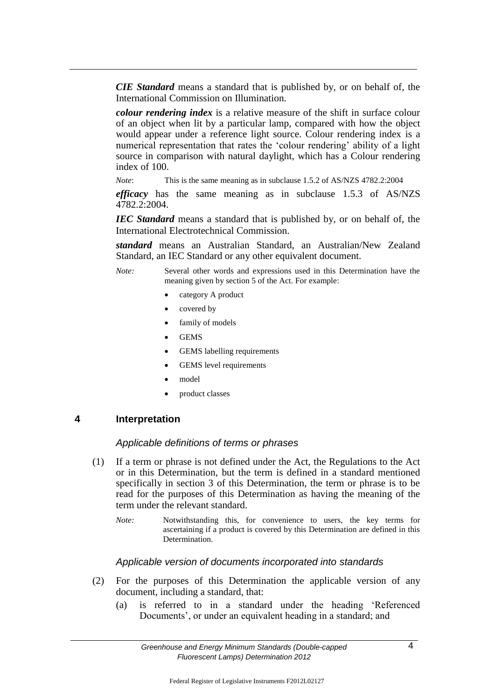*CIE Standard* means a standard that is published by, or on behalf of, the International Commission on Illumination.

*colour rendering index* is a relative measure of the shift in surface colour of an object when lit by a particular lamp, compared with how the object would appear under a reference light source. Colour rendering index is a numerical representation that rates the 'colour rendering' ability of a light source in comparison with natural daylight, which has a Colour rendering index of 100.

*Note*: This is the same meaning as in subclause 1.5.2 of AS/NZS 4782.2:2004

*efficacy* has the same meaning as in subclause 1.5.3 of AS/NZS 4782.2:2004.

*IEC Standard* means a standard that is published by, or on behalf of, the International Electrotechnical Commission.

*standard* means an Australian Standard, an Australian/New Zealand Standard, an IEC Standard or any other equivalent document.

*Note:* Several other words and expressions used in this Determination have the meaning given by section 5 of the Act. For example:

- category A product
- covered by
- family of models
- GEMS
- GEMS labelling requirements
- GEMS level requirements
- model
- product classes

#### **4 Interpretation**

#### *Applicable definitions of terms or phrases*

- (1) If a term or phrase is not defined under the Act, the Regulations to the Act or in this Determination, but the term is defined in a standard mentioned specifically in section 3 of this Determination, the term or phrase is to be read for the purposes of this Determination as having the meaning of the term under the relevant standard.
	- *Note:* Notwithstanding this, for convenience to users, the key terms for ascertaining if a product is covered by this Determination are defined in this Determination.

#### *Applicable version of documents incorporated into standards*

- (2) For the purposes of this Determination the applicable version of any document, including a standard, that:
	- (a) is referred to in a standard under the heading 'Referenced Documents', or under an equivalent heading in a standard; and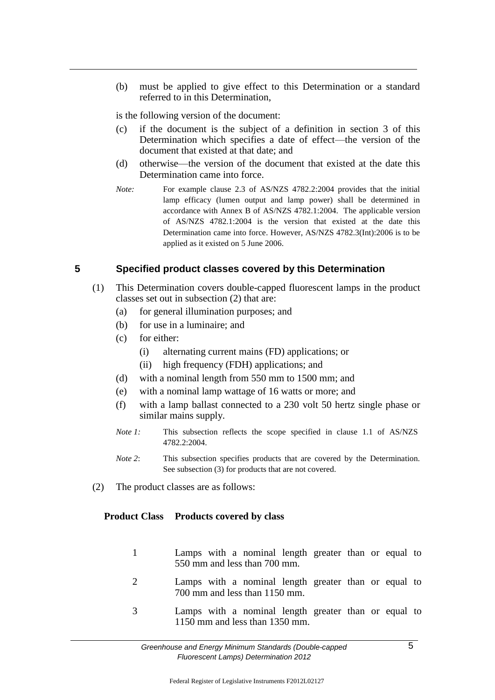(b) must be applied to give effect to this Determination or a standard referred to in this Determination,

is the following version of the document:

- (c) if the document is the subject of a definition in section 3 of this Determination which specifies a date of effect—the version of the document that existed at that date; and
- (d) otherwise—the version of the document that existed at the date this Determination came into force.
- *Note:* For example clause 2.3 of AS/NZS 4782.2:2004 provides that the initial lamp efficacy (lumen output and lamp power) shall be determined in accordance with Annex B of AS/NZS 4782.1:2004. The applicable version of AS/NZS 4782.1:2004 is the version that existed at the date this Determination came into force. However, AS/NZS 4782.3(Int):2006 is to be applied as it existed on 5 June 2006.

## **5 Specified product classes covered by this Determination**

- (1) This Determination covers double-capped fluorescent lamps in the product classes set out in subsection (2) that are:
	- (a) for general illumination purposes; and
	- (b) for use in a luminaire; and
	- (c) for either:
		- (i) alternating current mains (FD) applications; or
		- (ii) high frequency (FDH) applications; and
	- (d) with a nominal length from 550 mm to 1500 mm; and
	- (e) with a nominal lamp wattage of 16 watts or more; and
	- (f) with a lamp ballast connected to a 230 volt 50 hertz single phase or similar mains supply.
	- *Note 1*: This subsection reflects the scope specified in clause 1.1 of AS/NZS 4782.2:2004.
	- *Note 2*: This subsection specifies products that are covered by the Determination. See subsection (3) for products that are not covered.
- (2) The product classes are as follows:

#### **Product Class Products covered by class**

- 1 Lamps with a nominal length greater than or equal to 550 mm and less than 700 mm.
- 2 Lamps with a nominal length greater than or equal to 700 mm and less than 1150 mm.
- 3 Lamps with a nominal length greater than or equal to 1150 mm and less than 1350 mm.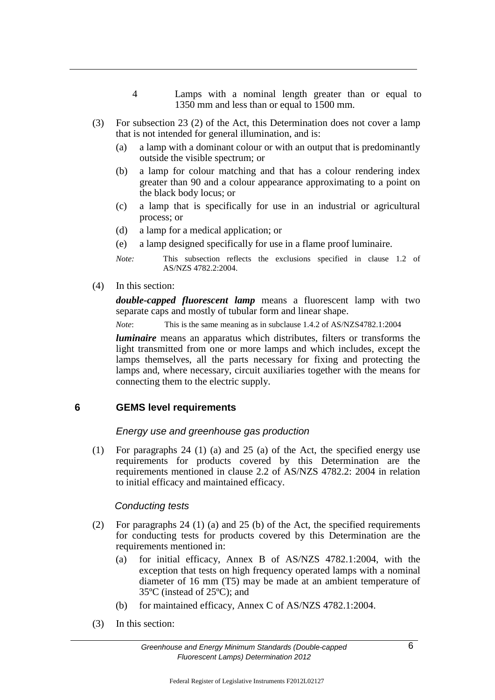- 4 Lamps with a nominal length greater than or equal to 1350 mm and less than or equal to 1500 mm.
- (3) For subsection 23 (2) of the Act, this Determination does not cover a lamp that is not intended for general illumination, and is:
	- (a) a lamp with a dominant colour or with an output that is predominantly outside the visible spectrum; or
	- (b) a lamp for colour matching and that has a colour rendering index greater than 90 and a colour appearance approximating to a point on the black body locus; or
	- (c) a lamp that is specifically for use in an industrial or agricultural process; or
	- (d) a lamp for a medical application; or
	- (e) a lamp designed specifically for use in a flame proof luminaire.

*Note:* This subsection reflects the exclusions specified in clause 1.2 of AS/NZS 4782.2:2004.

(4) In this section:

*double-capped fluorescent lamp* means a fluorescent lamp with two separate caps and mostly of tubular form and linear shape.

*Note*: This is the same meaning as in subclause 1.4.2 of AS/NZS4782.1:2004

*luminaire* means an apparatus which distributes, filters or transforms the light transmitted from one or more lamps and which includes, except the lamps themselves, all the parts necessary for fixing and protecting the lamps and, where necessary, circuit auxiliaries together with the means for connecting them to the electric supply.

# **6 GEMS level requirements**

#### *Energy use and greenhouse gas production*

(1) For paragraphs 24 (1) (a) and 25 (a) of the Act, the specified energy use requirements for products covered by this Determination are the requirements mentioned in clause 2.2 of AS/NZS 4782.2: 2004 in relation to initial efficacy and maintained efficacy.

# *Conducting tests*

- (2) For paragraphs 24 (1) (a) and 25 (b) of the Act, the specified requirements for conducting tests for products covered by this Determination are the requirements mentioned in:
	- (a) for initial efficacy, Annex B of AS/NZS 4782.1:2004, with the exception that tests on high frequency operated lamps with a nominal diameter of 16 mm (T5) may be made at an ambient temperature of 35ºC (instead of 25ºC); and
	- (b) for maintained efficacy, Annex C of AS/NZS 4782.1:2004.
- (3) In this section: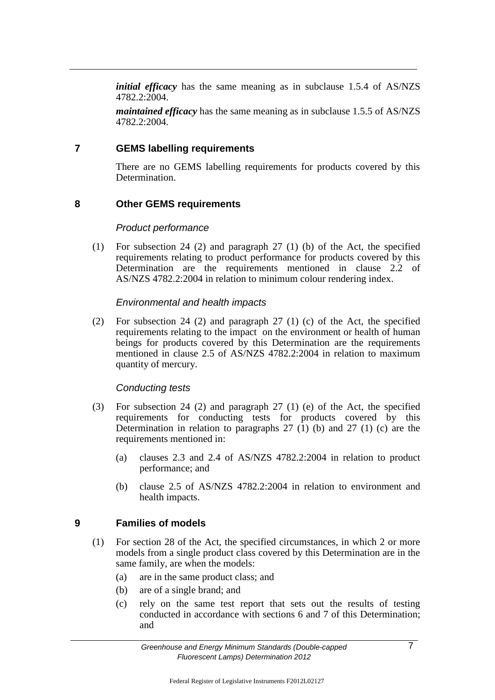*initial efficacy* has the same meaning as in subclause 1.5.4 of AS/NZS 4782.2:2004.

*maintained efficacy* has the same meaning as in subclause 1.5.5 of AS/NZS 4782.2:2004.

#### **7 GEMS labelling requirements**

There are no GEMS labelling requirements for products covered by this Determination.

## **8 Other GEMS requirements**

#### *Product performance*

(1) For subsection 24 (2) and paragraph 27 (1) (b) of the Act, the specified requirements relating to product performance for products covered by this Determination are the requirements mentioned in clause 2.2 of AS/NZS 4782.2:2004 in relation to minimum colour rendering index.

#### *Environmental and health impacts*

(2) For subsection 24 (2) and paragraph 27 (1) (c) of the Act, the specified requirements relating to the impact on the environment or health of human beings for products covered by this Determination are the requirements mentioned in clause 2.5 of AS/NZS 4782.2:2004 in relation to maximum quantity of mercury.

#### *Conducting tests*

- (3) For subsection 24 (2) and paragraph 27 (1) (e) of the Act, the specified requirements for conducting tests for products covered by this Determination in relation to paragraphs  $27$  (1) (b) and  $27$  (1) (c) are the requirements mentioned in:
	- (a) clauses 2.3 and 2.4 of AS/NZS 4782.2:2004 in relation to product performance; and
	- (b) clause 2.5 of AS/NZS 4782.2:2004 in relation to environment and health impacts.

# **9 Families of models**

- (1) For section 28 of the Act, the specified circumstances, in which 2 or more models from a single product class covered by this Determination are in the same family, are when the models:
	- (a) are in the same product class; and
	- (b) are of a single brand; and
	- (c) rely on the same test report that sets out the results of testing conducted in accordance with sections 6 and 7 of this Determination; and